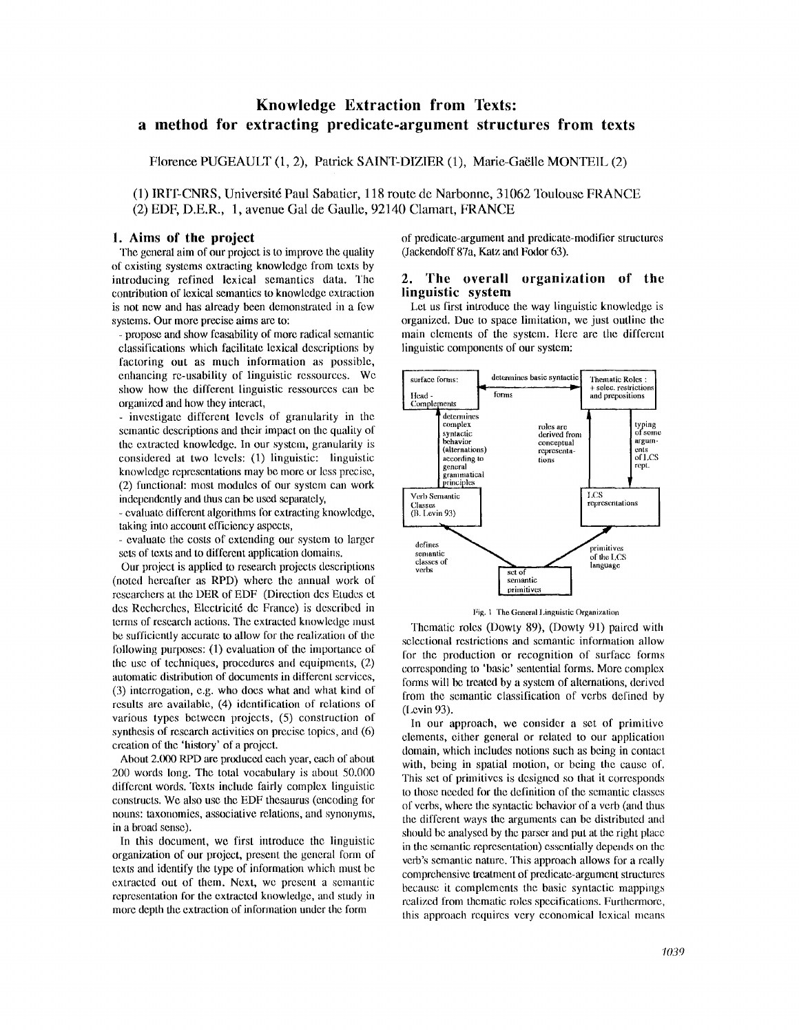# **Knowledge Extraction from Texts: a method for extracting predicate-argument structures from texts**

Florence PUGEAULT (1, 2), Patrick SAINT-DIZIER (1), Marie-GaElle MONTEIL (2)

(1) IRIT-CNRS, Université Paul Sabatier, 118 route de Narbonne, 31062 Toulouse FRANCE (2) EDF, D.E.R., 1, avenue Gal de Gaulle, 92140 Clamart, FRANCE

### **1. Aims of the project**

The general **aim** of our project is to improve the quality of existing systems extracting knowledge from texts by introducing refined lexical semantics data. The contribution of lexical semantics to knowledge extraction is not new and has already been demonstrated in a few systems. Our more precise aims are to:

**-** propose and show feasability of more radical semantic classifications which facilitate lexical descriptions by factoring out as much information as possible, enhancing re-usability of linguistic ressources. We show how the different linguistic ressources can be organized and how they interact,

**-** investigate different levels of granularity in the semantic descriptions and their impact on the quality of the extracted knowledge. In our system, granularity is considered at two levels: (1) linguistic: linguistic knowledge representations may be more or less precise, (2) functional: most modules of our system can work independently and thus can be used separately,

- evaluate different algorithms for extracting knowledge, taking into account efficiency aspects,

**-** evaluate the costs of extending our system to larger sets of texts and to different application domains.

Our project is applied to research projects descriptions (noted hereafter as RPD) where the annual work of researchers at the DER of EDF (Direction des Etudes et des Rechcrches, Electricit6 de France) is described in terms of research actions. The extracted knowledge must be sufficiently accurate to allow for the realization of the following purposes: (1) evaluation of the importance of the use of techniques, procedures anti equipments, (2) automatic distribution of documents in different services, (3) interrogation, e.g. who does what and what kind of results are available, (4) identification of relations of various types between projects, (5) construction of synthesis of research activities on precise topics, and  $(6)$ creation of the 'history' of a project.

About 2.000 RPD are produced each year, each of about 200 words hmg. The total vocabulary is about 50.000 different words. Texts include fairly complex linguistic constructs. We also use the EDF thesaurus (encoding for nouns: taxonomies, associative relations, and synonyms, in a broad sense).

In this document, we first introduce the linguistic organization of our project, present the general form of texts and identify the type of information which mnst be extracted out of them. Next, we present a semantic representation for the extracted knowledge, and study in more depth the extraction of information under the form

of predicate-argument and predicate-modifier structures (Jackendoff 87a, Katz and Fodor 63).

#### 2. The overall organization **of the linguistic system**

Let us first introduce the way linguistic knowledge is organized. Due to space limitation, we just outline the main elements of the system. Here are the different linguistic components of our system:





Thematic roles (Dowty 89), (Dowty 91) paired with selectional restrictions and semantic information allow for the production or recognition of surface forms corresponding to 'basic' sentential forms. More complex forms will be treated by a system of alternations, derived from the semantic classification of verbs defined by (l,evin 93).

In our approach, we consider a set of primitive elements, either general or related to our application domain, which includes notions such as being in contact with, being in spatial motion, or being the cause of. This set of primitives is designed so that it corresponds to those needed for the definition of the semantic classes of verbs, where the syntactic behavior of a verb (and thus the different ways the arguments can be distributed and should be analysed by the parser and put at the right place in the semantic representation) essentially depends on the verb's semantic nature. This approach allows for a really comprehensive treatment of predicate-argument structures because it complements the basic syntactic mappings realized from thematic roles specifications. Furthermore, this approach requires very economical lexical means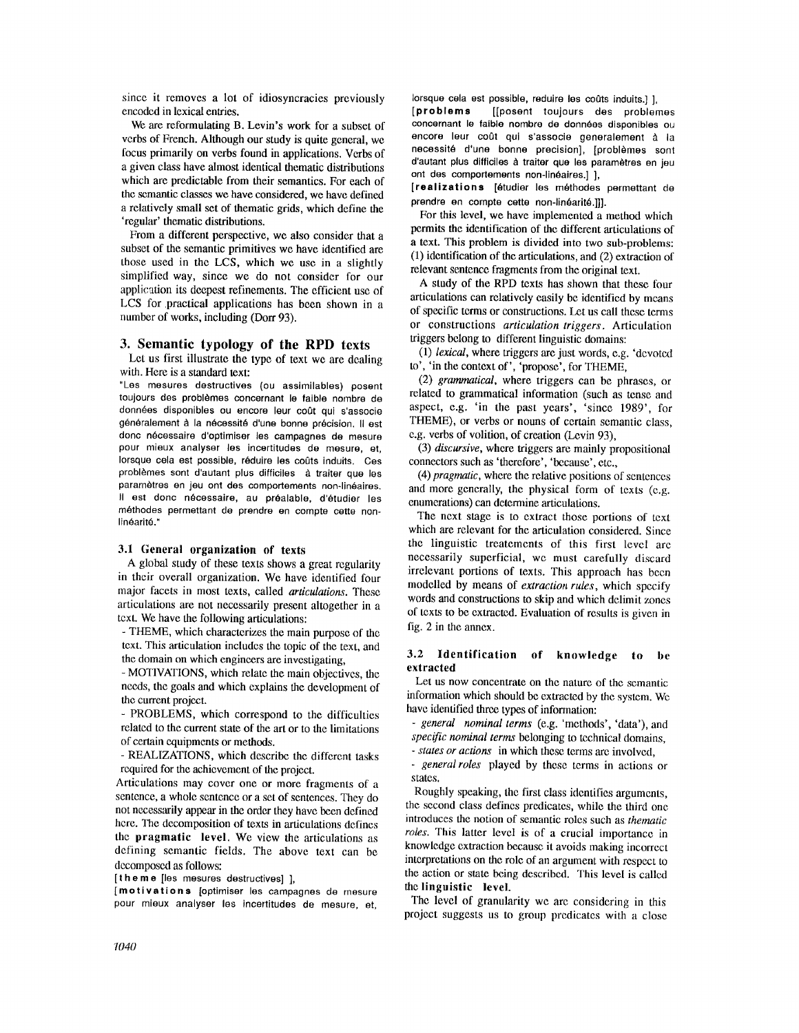since it removes a lot of idiosyncracies previously encoded in lexical entries.

We are reformulating B. Levin's work for a subset of verbs of French. Although our study is quite general, we focus primarily on verbs found in applications. Verbs of a given class have almost identical thematic distributions which are predictable from their semantics. For each of the semantic classes we have considered, we have defined a relatively small set of thematic grids, which define the 'regular' thematic distributions.

From a different perspective, we also consider that a subset of the semantic primitives we have identified are those used in the LCS, which we use in a slightly simplified way, since we do not consider for our application its deepest refinements. The efficient use of LCS for practical applications has been shown in a number of works, including (Dorr 93).

#### **3. Semantic typology of the RPD texts**

Let us first illustrate the type of text we are dealing with. Here is a standard text:

"Los mesures destructives (ou assimilables) posent toujours des problèmes concernant le faible nombre de donn6es disponibles ou encore leur coot qui s'associe généralement à la nécessité d'une bonne précision. Il est donc nécessaire d'optimiser les campagnes de mesure pour rnieux analyser les incertitudes de mesure, **el,**  lorsque cela est possible, réduire les coûts induits. Ces problèmes sont d'autant plus difficiles à traiter que les paramètres en jeu ont des comportements non-linéaires. Il est donc nécessaire, au préalable, d'étudier les méthodes permettant de prendre en compte cette nonlinéarité."

## 3.1 General organization of **texts**

A global study of these texts shows a great regularity in their overall organization. We have identified four major facets in most texts, called *articulations.* These articulations are not necessarily present altogether in a text. We have the following articulations:

- THEME, which characterizes the main purpose of the text. This articulation includes the topic of the text, and the domain on which engineers are investigating,

- MOTIVATIONS, which relate the main objectives, the needs, the goals and which explains the development of the current project.

- PROBLEMS, which correspond to the difficulties related to the current state of the art or to the limitations of certain equipments or methods.

- REALIZATIONS, which describe the different tasks required for the achievement of the project.

Articulations may cover one or more fragments of a sentence, a whole sentence or a set of sentences. They do not necessarily appear in the order they have been defined here. The decomposition of texts in articulations defines the pragmatic level. We view the articulations as defining semantic fields. The above text can be decomposed as follows:

[the me lies mesures destructives] ].

[motivation,, [optimisor los campagnes de mesure pour mieux analyser les incertitudes de mesure, et, lorsque cela est possible, reduire les coûts induits.] ], **[problems** [[posent toujours des problemes concernant le faible nombre de données disponibles ou encore leur coût qui s'associe generalement à la necessité d'une bonne precision], [problèmes sont d'autant plus difficiles à traiter que les paramètres en jeu ont des comportements non-linéaires.] ],

**[realizations [étudier les méthodes permettant de** prendre en compte cette non-linéarité.]]].

For this level, we have implemented a method which permits the identification of the different articulations of a text. This problem is divided into two sub-problems: (1) identification of the articulations, and (2) extraction of relevant sentence fragments from the original text.

A study of the RPD texts has shown that these four articulations can relatively easily be identified by means of specific terms or constructions. Let us call these terms or constructions *articulation triggers.* Articulation triggers belong to different linguistic domains:

(1) *lexical,* where triggers are just words, e.g. 'devoted to', 'in the context of', 'propose', for THEME,

(2) *grammatical,* where triggers can be phrases, or related to grammatical information (such as tense and aspect, e.g. 'in the past years', 'since 1989', for THEME), or verbs or nouns of certain semantic class, e.g. verbs of volition, of creation (Levin 93),

(3) *discursive,* where triggers are mainly propositional connectors such as 'therefore', 'because', etc.,

(4) *pragmatic,* where the relative positions of sentences and more generally, the physical form of texts (e.g. enumerations) can determine articulations.

The next stage is to extract those portions of text which are relevant for the articulation considered. Since the linguistic treatements of this first level are necessarily superficial, we must carefully discard irrelevant portions of texts. This approach has been modelled by means of *extraction rules,* which specify words and constructions to skip and which delimit zones of texts to be extracted. Evaluation of results is given in fig. 2 in the annex.

#### **3.2 Identification of knowledge to be extracted**

Let us now concentrate on the nature of the semantic information which should be extracted by the system. We have identified three types of information:

*- general nominal terms* (e.g. 'methods', 'data'), and *specific nominal terms* belonging to technical domains,

*- states or actions* in which these terms are involved, *- general roles* played by these terms in actions or

states.

Roughly speaking, the first class identifies arguments, the second class defines predicates, while the third one introduces the notion of semantic roles such as *thematic roles.* This latter level is of a crucial importance in knowledge extraction because it avoids making incorrect interpretations on the role of an argument with respect to the action or slate being described. This level is called the **linguistic level.** 

The level of granularity we are considering in this project suggests us to group predicates with a close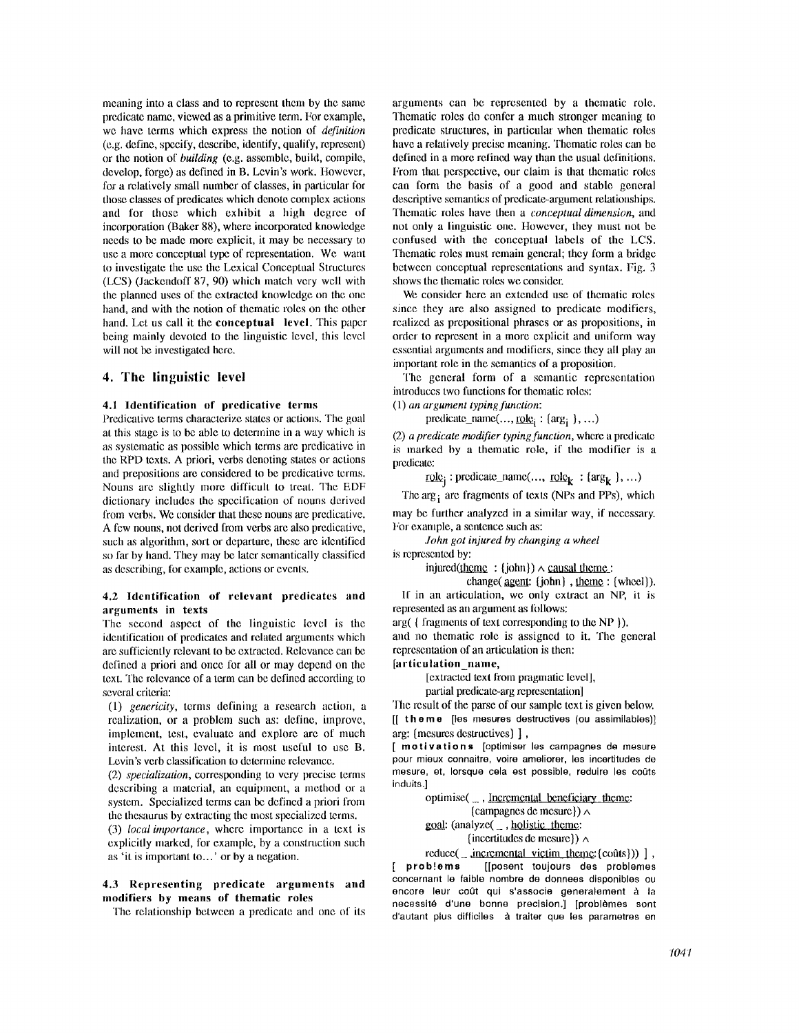meaning into a class and to represent them by the same predicate name, viewed as a primitive term. For example, we have terms which express the notion of *definition*  (e.g. define, specify, describe, identify, qualify, represent) or the notion of *building* (e.g. assemble, build, compile, develop, forge) as defined in B. Levin's work. However, for a relatively small number of classes, in particular for those classes of predicates which denote complex actions and for those which exhibit a high degree of incorporation (Baker 88), where incorporated knowledge needs to be made more explicit, it may be necessary to use a more conceptual type of representation. We want to investigate the use the Lexical Conccptual Structures (LCS) (Jackendoff 87, 90) which match very well with the planned uses of the extracted knowledge on the one hand, and with the notion of thematic roles on the other hand. Let us call it the conceptual level. This paper being mainly devoted to the linguistic levcl, this level will not be investigated here.

## **4. The linguistic level**

#### **4.1 Identification of predicative** terms

Predicative terms characterize states or actions. The goal at this stage is to be able to determine in a way which is as systematic as possible which terms are predicative in the RPD texts. A priori, verbs denoting states or actions and prepositions are considered to be predicative terms. Nouns are slightly more difficult to treat. The EDF dictionary includes the specification of nouns derived from verbs. We consider that these nouns are predicative. A few nouns, not derived from verbs are also predicative, such as algorithm, sort or departure, these are identified so far by hand. They may be later semantically classified as describing, for example, actions or events.

#### 4.2 Identification of relevant predicates and arguments **in texts**

The second aspect of the linguistic level is the identification of predicates and related arguments which arc sufficiently relevant to be extracted. Relevance can be defined a priori and once for all or may depend on the text. The relevance of a term can be defined according to several criteria:

(1) *genericity,* terms defining a research action, a realization, or a problem such as: define, improve, implement, test, evaluate and explore are of much interest. At this level, it is most useful to use B. Levin's verb classification to determine relevance.

(2) *specialization,* corresponding to very precise terms describing a material, an equipment, a method or a system. Specialized terms can be defined a priori from the thesaurus by extracting the most specialized terms. (3) *localimportance,* where importance in a text is

explicitly marked, for example, by a construction such as 'it is important to...' or by a negation.

#### 4.3 Representing predicate arguments and modifiers by **means** of thematic roles

The relationship between a predicate and one of its

arguments can be represented by a thematic role. Thematic roles do confer a much stronger meaning to predicate structures, in particular when thenmtic roles have a relatively precise meaning. Thematic roles can be defined in a more refincd way than the usual definitions. From that perspective, our claim is that thematic roles can form the basis of a good and stable general descriptive semantics of predicate-argument relationships. Thematic roles have then a *conceptual dimension,* and not only a linguistic one. However, they must not be confused with the conceptual labels of the LCS. Thematic roles must remain general; they form a bridge between conceptual representations and syntax. Fig. 3 shows the thematic roles we consider.

We consider here an extended use of thematic roles since they are also assigned to predicate modifiers, realized as prepositional phrases or as propositions, in order to represent in a more explicit and uniform way essential arguments and modifiers, since they all play an important role in the semantics of a proposition.

The general form of a semantic representation introduces two functions for thematic roles: (1) *an argument typing function:* 

predicate\_name $(..., \underline{role}_i : \{arg_i \}, ...)$ 

(2) *a predicate modifier typing function*, where a predicate is marked by a thematic role, if the modifier is a predicate:

 $\text{role}_i : \text{predicate\_name}( ..., \text{role}_k : \text{[arg}_k ], ... )$ 

The  $\arg_i$  are fragments of texts (NPs and PPs), which may be further analyzed in a similar way, if necessary.

For example, a sentence such as: *John got injured by changing a wheel* 

is represented by:

injured(theme : {john})  $\land$  causal theme :

change( $qgen:$  {john},  $qhemq:$  {wheel}). If in an articulation, we only extract an NP, it is represented as an argument as follows:

arg( { fragments of text corresponding to the NP }).

and no thematic role is assigned to it. The general representation of an articulation is tben:

#### [articulation\_name,

[extracted text from pragmatic level],

partial predicate-arg representation

The result of the parse of our sample text is given below. [[ theme [les mesures destructives (ou assimilables)] arg: {mesures destructives} ],

[ motivations [optimiser los carnpagnes de mesure pour mieux connaitre, voire ameliorer, les incertitudes de mesure, et, Iorsque cela est possible, reduire les coots induits.]

> optimise( $\Box$ , Incremental beneficiary theme: {campagnes de mesure})  $\land$  $goal: (analyze(\_ , holys)$ : {incertitudes de mesure}}  $\land$

reduce( $\frac{1}{2}$ , incremental victim theme: {co $\hat{u}(s)$ }) ], [ prob!ems [[posent toujours des problemes concernant le faible hombre de donnees disponibles ou encore leur coût qui s'associe generalement à la necessité d'une bonne precision.] [problèmes sont d'autant plus difficiles à traiter que les parametres en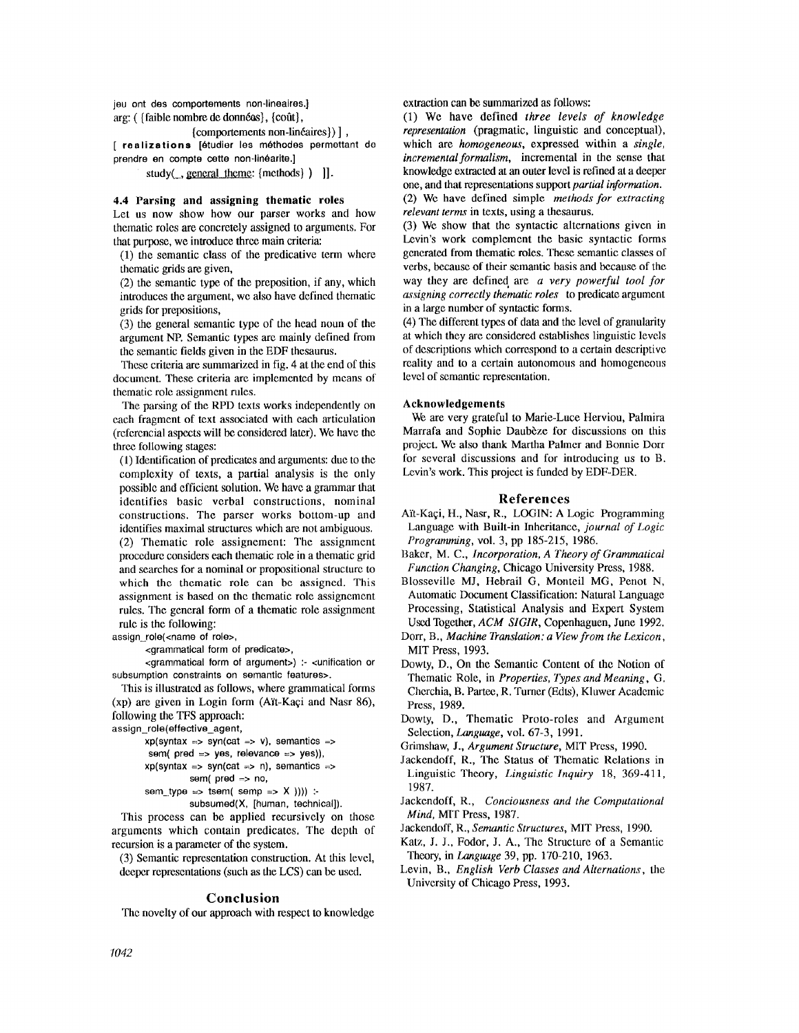jou ont des comportements non-lineaires.] arg: ( $\{\text{faible} \text{ nombre de données}\}, \{\text{coût}\},\$ {comportements non-linéaires}) ], [ realizations [6tudier los m6thodes permettant de

prendre en compte cette non-linéarite.]

study( $\Box$ , general theme: {methods} ) ]].

#### **4.4 Parsing and assigning thematic roles**

Let us now show how our parser works and how thematic roles are concretely assigned to arguments. For that purpose, we introduce three main criteria:

(1) the semantic class of the predicative term where thematic grids are given,

(2) the semantic type of the preposition, if any, which introduces the argument, we also have defined thematic grids for prepositions,

(3) the general semantic type of the head noun of the argument NP. Semantic types are mainly defined from the semantic fields given in the EDF thesaurus.

These criteria are summarized in fig. 4 at the end of this document. These criteria are implemented by means of thematic role assignment rules.

The parsing of the RPD texts works independently on each fragment of text associated with each articulation (referencial aspects will be considered later). We have the three following stages:

(1) Identification of predicates and arguments: due to the complexity of texts, a partial analysis is the only possible and efficient solution. We have a grammar that identifies basic verbal constructions, nominal constructions. The parser works bottom-up and identifies maximal structures which are not ambiguous. (2) Thematic role assignement: The assignment procedure considers each thematic role in a thematic grid and searches for a nominal or propositional structure to which the thematic role can be assigned. This assignment is based on the thematic role assignement rules. The general form of a thematic role assignment rule is the following:

assign\_role(<name of role>,

<grammatical form of predicate>,

<grammatical form of argument>) :- <unification or subsumption constraints on semantic features>.

This is illustrated as follows, where grammatical forms (xp) are given in Login form (A'R-Kaqi and Nasr 86), following the TFS approach:

assign\_role(effective\_agent,

```
xp(syntax => syn(cat => v), semantics =>
```

```
sem( pred \Rightarrow yes, relevance \Rightarrow yes)),
xp(syntax => syn(cat => n), semantics =>
```

```
sem( pred => no,
```

```
sem_type => tsem( semp => X )))) :-
```

```
subsumed(X, [human, technical]).
```
This process can be applied recursively on those arguments which contain predicates. The depth of recursion is a parameter of the system.

(3) Semantic representation construction. At this level, deeper representations (such as the LCS) can be used.

#### **Conclusion**

The novelty of our approach with respect to knowledge

extraction can be summarized as follows:

(1) We have defined *three levels of knowledge representation* (pragmatic, linguistic and conceptual), which are *homogeneous,* expressed within a *single, incremental formalism,* incremental in the sense that knowledge extracted at an outer level is refined at a deeper one, and that representations support *partial information.* 

(2) We have defined simple *methods for extracting relevant terms* in texts, using a thesaurus.

(3) We show that the syntactic alternations given in Levin's work complement the basic syntactic forms generated from thematic roles. These semantic classes of verbs, because of their semautic basis and because of the way they are defined are *a very powerful tool for assigning correctly thematic roles* to predicate argument in a large number of syntactic forms.

(4) The different types of data and the level of granularity at which they are considered establishes linguistic levels of descriptions which correspond to a certain descriptive reality and to a certain autonomous and homogeneous level of semantic representation.

#### **Acknowledgements**

We are very grateful to Marie-Luce Herviou, Pahnira Marrafa and Sophie Daubèze for discussions on this project. We also thank Martha Palmer and Bonnie Dorr for several discussions and for introducing us to B. Levin's work. This project is funded by EDF-DER.

#### **References**

- Aït-Kaçi, H., Nasr, R., LOGIN: A Logic Programming Language with Built-in Inheritance, *journal of Logic Programming,* vol. 3, pp 185-215, 1986.
- Baker, M. C., *Incorporation, A Theory of Grammatical Function Changing,* Chicago University Press, 1988.
- Blosseville MJ, Hebrail G, Monteil MG, Penot N, Automatic Document Classification: Natural Language Processing, Statistical Analysis and Expert System Used Together, *ACM SIGIR,* Copenhaguen, June 1992.
- Dorr, B., *Machine Translation: a View from the Lexicon,*  MIT Press, 1993.
- Dowty, D., On the Semantic Content of the Notion of Thematic Role, in *Properties, Types and Meaning, G.*  Cherchia, B. Partee, R. Turner (Edts), Kluwer Academic Press, 1989.
- Dowty, D., Thematic Proto-roles and Argument Selection, *Language,* vol. 67-3, 1991.
- Grimshaw, J., *Argument Structure,* MIT Press, 1990.
- Jackendoff, R., The Status of Thematic Relations in Linguistic Theory, *Linguistic Inquiry* 18, 369-411, 1987.
- Jackendoff, R., *Conciousness and the Computational Mind,* MIT Press, 1987.
- Jackendoff, R., *Semantic Structures,* MIT Press, 1990.
- Katz, J. J., Fodor, J. A., The Structure of a Semantic Theory, in *Language* 39, pp. 170-210, 1963.
- Levin, B., *English Verb Classes and Alternations,* the University of Chicago Press, 1993.